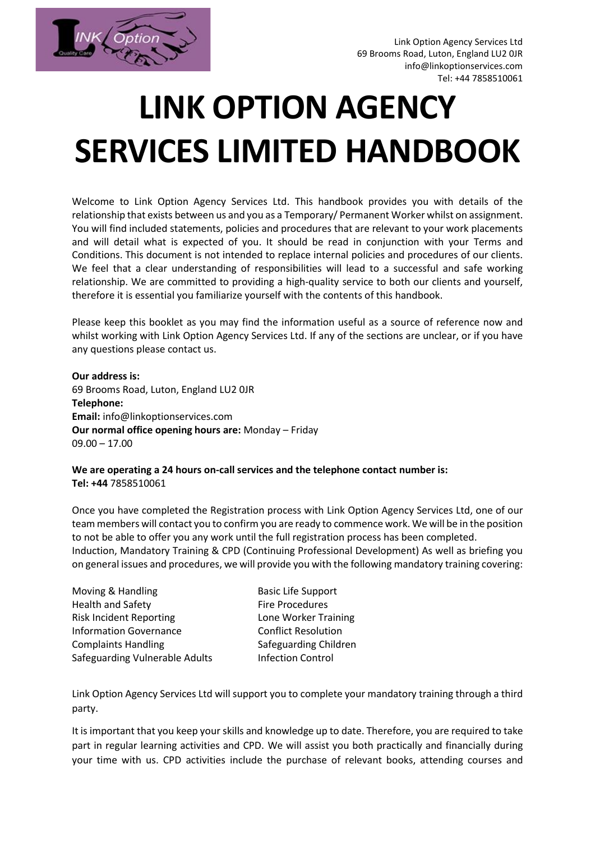

Link Option Agency Services Ltd 69 Brooms Road, Luton, England LU2 0JR info@linkoptionservices.com Tel: +44 7858510061

# **LINK OPTION AGENCY SERVICES LIMITED HANDBOOK**

Welcome to Link Option Agency Services Ltd. This handbook provides you with details of the relationship that exists between us and you as a Temporary/ Permanent Worker whilst on assignment. You will find included statements, policies and procedures that are relevant to your work placements and will detail what is expected of you. It should be read in conjunction with your Terms and Conditions. This document is not intended to replace internal policies and procedures of our clients. We feel that a clear understanding of responsibilities will lead to a successful and safe working relationship. We are committed to providing a high-quality service to both our clients and yourself, therefore it is essential you familiarize yourself with the contents of this handbook.

Please keep this booklet as you may find the information useful as a source of reference now and whilst working with Link Option Agency Services Ltd. If any of the sections are unclear, or if you have any questions please contact us.

**Our address is:** 69 Brooms Road, Luton, England LU2 0JR **Telephone: Email:** info@linkoptionservices.com **Our normal office opening hours are:** Monday – Friday  $09.00 - 17.00$ 

**We are operating a 24 hours on-call services and the telephone contact number is: Tel: +44** 7858510061

Once you have completed the Registration process with Link Option Agency Services Ltd, one of our team members will contact you to confirm you are ready to commence work. We will be in the position to not be able to offer you any work until the full registration process has been completed. Induction, Mandatory Training & CPD (Continuing Professional Development) As well as briefing you on general issues and procedures, we will provide you with the following mandatory training covering:

| Moving & Handling              |  |
|--------------------------------|--|
| <b>Health and Safety</b>       |  |
| <b>Risk Incident Reporting</b> |  |
| <b>Information Governance</b>  |  |
| <b>Complaints Handling</b>     |  |
| Safeguarding Vulnerable Adults |  |

Basic Life Support Fire Procedures Lone Worker Training **Conflict Resolution** Safeguarding Children **Infection Control** 

Link Option Agency Services Ltd will support you to complete your mandatory training through a third party.

It is important that you keep your skills and knowledge up to date. Therefore, you are required to take part in regular learning activities and CPD. We will assist you both practically and financially during your time with us. CPD activities include the purchase of relevant books, attending courses and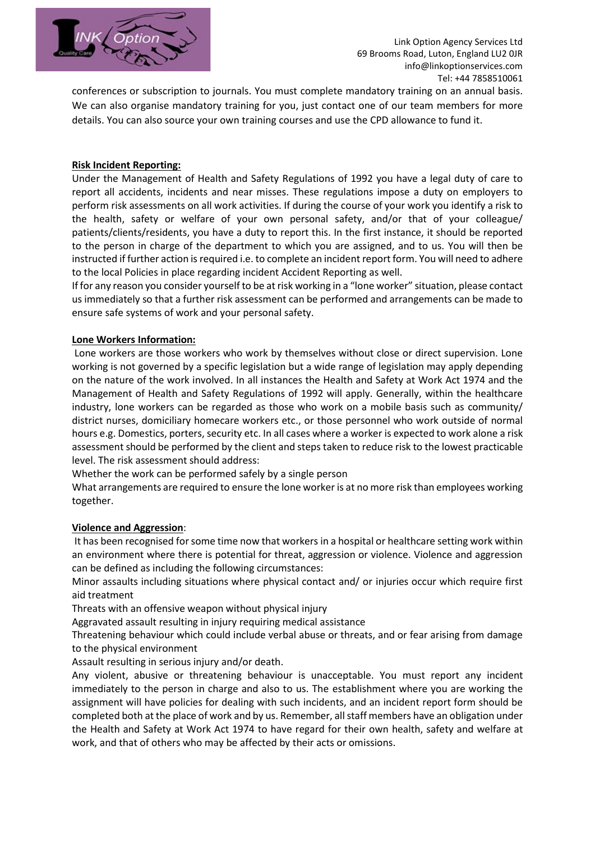

conferences or subscription to journals. You must complete mandatory training on an annual basis. We can also organise mandatory training for you, just contact one of our team members for more details. You can also source your own training courses and use the CPD allowance to fund it.

#### **Risk Incident Reporting:**

Under the Management of Health and Safety Regulations of 1992 you have a legal duty of care to report all accidents, incidents and near misses. These regulations impose a duty on employers to perform risk assessments on all work activities. If during the course of your work you identify a risk to the health, safety or welfare of your own personal safety, and/or that of your colleague/ patients/clients/residents, you have a duty to report this. In the first instance, it should be reported to the person in charge of the department to which you are assigned, and to us. You will then be instructed if further action is required i.e. to complete an incident report form. You will need to adhere to the local Policies in place regarding incident Accident Reporting as well.

If for any reason you consider yourself to be at risk working in a "lone worker" situation, please contact us immediately so that a further risk assessment can be performed and arrangements can be made to ensure safe systems of work and your personal safety.

# **Lone Workers Information:**

Lone workers are those workers who work by themselves without close or direct supervision. Lone working is not governed by a specific legislation but a wide range of legislation may apply depending on the nature of the work involved. In all instances the Health and Safety at Work Act 1974 and the Management of Health and Safety Regulations of 1992 will apply. Generally, within the healthcare industry, lone workers can be regarded as those who work on a mobile basis such as community/ district nurses, domiciliary homecare workers etc., or those personnel who work outside of normal hours e.g. Domestics, porters, security etc. In all cases where a worker is expected to work alone a risk assessment should be performed by the client and steps taken to reduce risk to the lowest practicable level. The risk assessment should address:

Whether the work can be performed safely by a single person

What arrangements are required to ensure the lone worker is at no more risk than employees working together.

#### **Violence and Aggression**:

It has been recognised for some time now that workers in a hospital or healthcare setting work within an environment where there is potential for threat, aggression or violence. Violence and aggression can be defined as including the following circumstances:

Minor assaults including situations where physical contact and/ or injuries occur which require first aid treatment

Threats with an offensive weapon without physical injury

Aggravated assault resulting in injury requiring medical assistance

Threatening behaviour which could include verbal abuse or threats, and or fear arising from damage to the physical environment

Assault resulting in serious injury and/or death.

Any violent, abusive or threatening behaviour is unacceptable. You must report any incident immediately to the person in charge and also to us. The establishment where you are working the assignment will have policies for dealing with such incidents, and an incident report form should be completed both at the place of work and by us. Remember, all staff members have an obligation under the Health and Safety at Work Act 1974 to have regard for their own health, safety and welfare at work, and that of others who may be affected by their acts or omissions.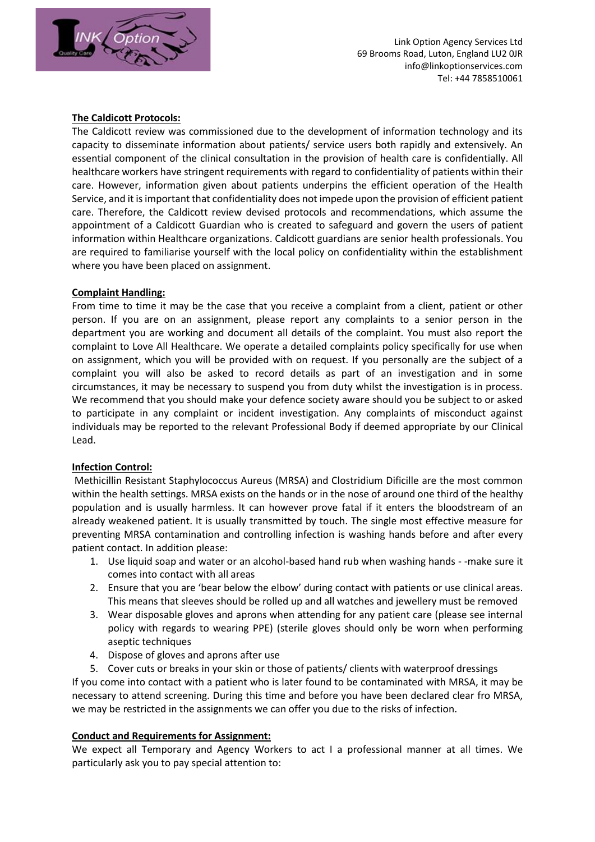

# **The Caldicott Protocols:**

The Caldicott review was commissioned due to the development of information technology and its capacity to disseminate information about patients/ service users both rapidly and extensively. An essential component of the clinical consultation in the provision of health care is confidentially. All healthcare workers have stringent requirements with regard to confidentiality of patients within their care. However, information given about patients underpins the efficient operation of the Health Service, and it is important that confidentiality does not impede upon the provision of efficient patient care. Therefore, the Caldicott review devised protocols and recommendations, which assume the appointment of a Caldicott Guardian who is created to safeguard and govern the users of patient information within Healthcare organizations. Caldicott guardians are senior health professionals. You are required to familiarise yourself with the local policy on confidentiality within the establishment where you have been placed on assignment.

# **Complaint Handling:**

From time to time it may be the case that you receive a complaint from a client, patient or other person. If you are on an assignment, please report any complaints to a senior person in the department you are working and document all details of the complaint. You must also report the complaint to Love All Healthcare. We operate a detailed complaints policy specifically for use when on assignment, which you will be provided with on request. If you personally are the subject of a complaint you will also be asked to record details as part of an investigation and in some circumstances, it may be necessary to suspend you from duty whilst the investigation is in process. We recommend that you should make your defence society aware should you be subject to or asked to participate in any complaint or incident investigation. Any complaints of misconduct against individuals may be reported to the relevant Professional Body if deemed appropriate by our Clinical Lead.

#### **Infection Control:**

Methicillin Resistant Staphylococcus Aureus (MRSA) and Clostridium Dificille are the most common within the health settings. MRSA exists on the hands or in the nose of around one third of the healthy population and is usually harmless. It can however prove fatal if it enters the bloodstream of an already weakened patient. It is usually transmitted by touch. The single most effective measure for preventing MRSA contamination and controlling infection is washing hands before and after every patient contact. In addition please:

- 1. Use liquid soap and water or an alcohol-based hand rub when washing hands -make sure it comes into contact with all areas
- 2. Ensure that you are 'bear below the elbow' during contact with patients or use clinical areas. This means that sleeves should be rolled up and all watches and jewellery must be removed
- 3. Wear disposable gloves and aprons when attending for any patient care (please see internal policy with regards to wearing PPE) (sterile gloves should only be worn when performing aseptic techniques
- 4. Dispose of gloves and aprons after use
- 5. Cover cuts or breaks in your skin or those of patients/ clients with waterproof dressings

If you come into contact with a patient who is later found to be contaminated with MRSA, it may be necessary to attend screening. During this time and before you have been declared clear fro MRSA, we may be restricted in the assignments we can offer you due to the risks of infection.

#### **Conduct and Requirements for Assignment:**

We expect all Temporary and Agency Workers to act I a professional manner at all times. We particularly ask you to pay special attention to: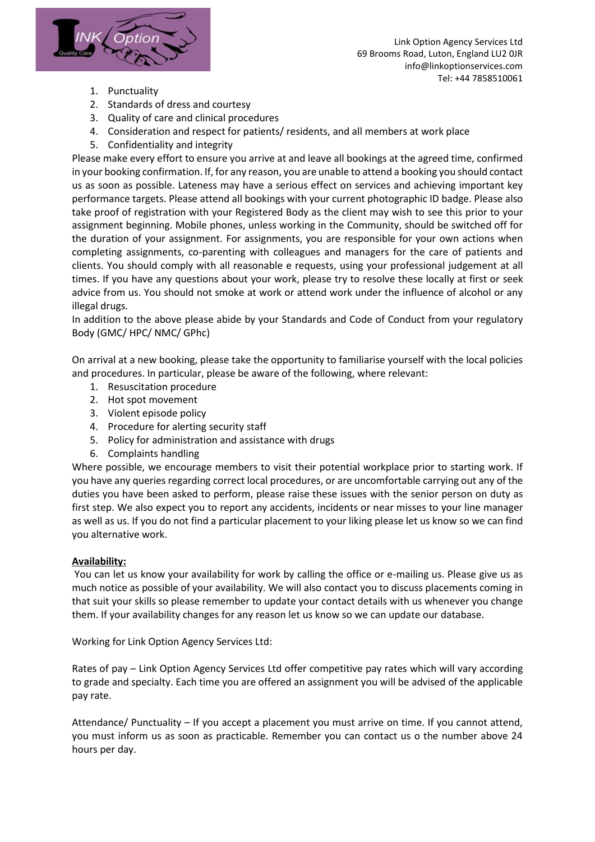

- 1. Punctuality
- 2. Standards of dress and courtesy
- 3. Quality of care and clinical procedures
- 4. Consideration and respect for patients/ residents, and all members at work place
- 5. Confidentiality and integrity

Please make every effort to ensure you arrive at and leave all bookings at the agreed time, confirmed in your booking confirmation. If, for any reason, you are unable to attend a booking you should contact us as soon as possible. Lateness may have a serious effect on services and achieving important key performance targets. Please attend all bookings with your current photographic ID badge. Please also take proof of registration with your Registered Body as the client may wish to see this prior to your assignment beginning. Mobile phones, unless working in the Community, should be switched off for the duration of your assignment. For assignments, you are responsible for your own actions when completing assignments, co-parenting with colleagues and managers for the care of patients and clients. You should comply with all reasonable e requests, using your professional judgement at all times. If you have any questions about your work, please try to resolve these locally at first or seek advice from us. You should not smoke at work or attend work under the influence of alcohol or any illegal drugs.

In addition to the above please abide by your Standards and Code of Conduct from your regulatory Body (GMC/ HPC/ NMC/ GPhc)

On arrival at a new booking, please take the opportunity to familiarise yourself with the local policies and procedures. In particular, please be aware of the following, where relevant:

- 1. Resuscitation procedure
- 2. Hot spot movement
- 3. Violent episode policy
- 4. Procedure for alerting security staff
- 5. Policy for administration and assistance with drugs
- 6. Complaints handling

Where possible, we encourage members to visit their potential workplace prior to starting work. If you have any queries regarding correct local procedures, or are uncomfortable carrying out any of the duties you have been asked to perform, please raise these issues with the senior person on duty as first step. We also expect you to report any accidents, incidents or near misses to your line manager as well as us. If you do not find a particular placement to your liking please let us know so we can find you alternative work.

#### **Availability:**

You can let us know your availability for work by calling the office or e-mailing us. Please give us as much notice as possible of your availability. We will also contact you to discuss placements coming in that suit your skills so please remember to update your contact details with us whenever you change them. If your availability changes for any reason let us know so we can update our database.

Working for Link Option Agency Services Ltd:

Rates of pay – Link Option Agency Services Ltd offer competitive pay rates which will vary according to grade and specialty. Each time you are offered an assignment you will be advised of the applicable pay rate.

Attendance/ Punctuality – If you accept a placement you must arrive on time. If you cannot attend, you must inform us as soon as practicable. Remember you can contact us o the number above 24 hours per day.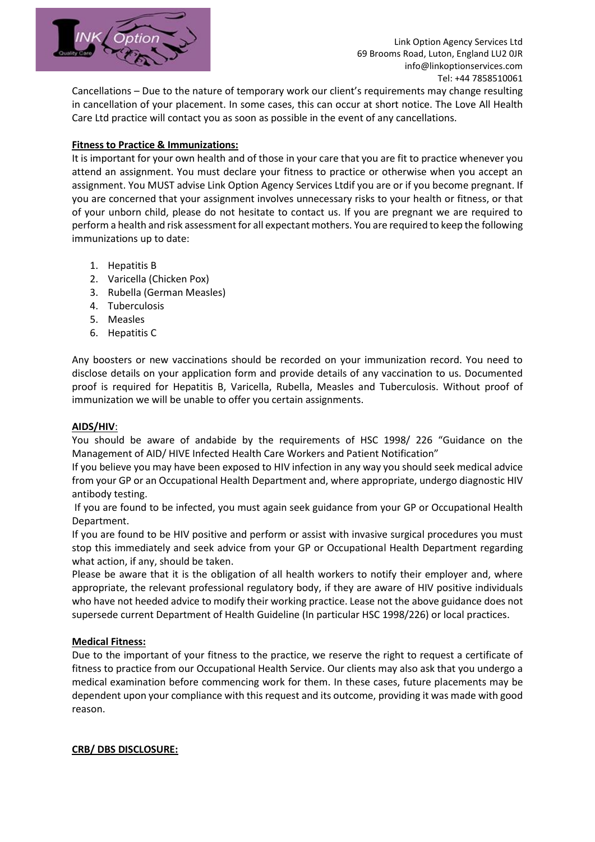

Cancellations – Due to the nature of temporary work our client's requirements may change resulting in cancellation of your placement. In some cases, this can occur at short notice. The Love All Health Care Ltd practice will contact you as soon as possible in the event of any cancellations.

# **Fitness to Practice & Immunizations:**

It is important for your own health and of those in your care that you are fit to practice whenever you attend an assignment. You must declare your fitness to practice or otherwise when you accept an assignment. You MUST advise Link Option Agency Services Ltdif you are or if you become pregnant. If you are concerned that your assignment involves unnecessary risks to your health or fitness, or that of your unborn child, please do not hesitate to contact us. If you are pregnant we are required to perform a health and risk assessment for all expectant mothers. You are required to keep the following immunizations up to date:

- 1. Hepatitis B
- 2. Varicella (Chicken Pox)
- 3. Rubella (German Measles)
- 4. Tuberculosis
- 5. Measles
- 6. Hepatitis C

Any boosters or new vaccinations should be recorded on your immunization record. You need to disclose details on your application form and provide details of any vaccination to us. Documented proof is required for Hepatitis B, Varicella, Rubella, Measles and Tuberculosis. Without proof of immunization we will be unable to offer you certain assignments.

#### **AIDS/HIV**:

You should be aware of andabide by the requirements of HSC 1998/ 226 "Guidance on the Management of AID/ HIVE Infected Health Care Workers and Patient Notification"

If you believe you may have been exposed to HIV infection in any way you should seek medical advice from your GP or an Occupational Health Department and, where appropriate, undergo diagnostic HIV antibody testing.

If you are found to be infected, you must again seek guidance from your GP or Occupational Health Department.

If you are found to be HIV positive and perform or assist with invasive surgical procedures you must stop this immediately and seek advice from your GP or Occupational Health Department regarding what action, if any, should be taken.

Please be aware that it is the obligation of all health workers to notify their employer and, where appropriate, the relevant professional regulatory body, if they are aware of HIV positive individuals who have not heeded advice to modify their working practice. Lease not the above guidance does not supersede current Department of Health Guideline (In particular HSC 1998/226) or local practices.

#### **Medical Fitness:**

Due to the important of your fitness to the practice, we reserve the right to request a certificate of fitness to practice from our Occupational Health Service. Our clients may also ask that you undergo a medical examination before commencing work for them. In these cases, future placements may be dependent upon your compliance with this request and its outcome, providing it was made with good reason.

#### **CRB/ DBS DISCLOSURE:**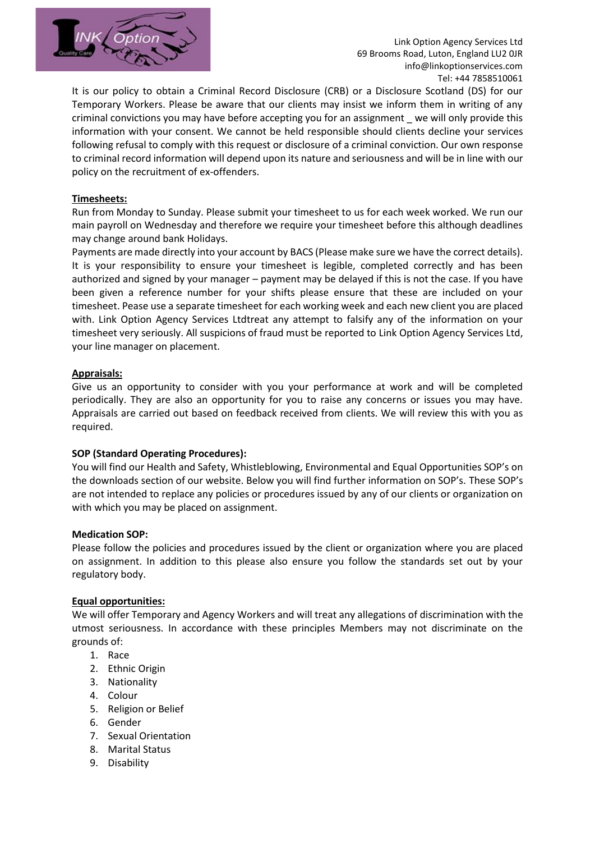

Link Option Agency Services Ltd 69 Brooms Road, Luton, England LU2 0JR info@linkoptionservices.com Tel: +44 7858510061

It is our policy to obtain a Criminal Record Disclosure (CRB) or a Disclosure Scotland (DS) for our Temporary Workers. Please be aware that our clients may insist we inform them in writing of any criminal convictions you may have before accepting you for an assignment \_ we will only provide this information with your consent. We cannot be held responsible should clients decline your services following refusal to comply with this request or disclosure of a criminal conviction. Our own response to criminal record information will depend upon its nature and seriousness and will be in line with our policy on the recruitment of ex-offenders.

# **Timesheets:**

Run from Monday to Sunday. Please submit your timesheet to us for each week worked. We run our main payroll on Wednesday and therefore we require your timesheet before this although deadlines may change around bank Holidays.

Payments are made directly into your account by BACS (Please make sure we have the correct details). It is your responsibility to ensure your timesheet is legible, completed correctly and has been authorized and signed by your manager – payment may be delayed if this is not the case. If you have been given a reference number for your shifts please ensure that these are included on your timesheet. Pease use a separate timesheet for each working week and each new client you are placed with. Link Option Agency Services Ltdtreat any attempt to falsify any of the information on your timesheet very seriously. All suspicions of fraud must be reported to Link Option Agency Services Ltd, your line manager on placement.

#### **Appraisals:**

Give us an opportunity to consider with you your performance at work and will be completed periodically. They are also an opportunity for you to raise any concerns or issues you may have. Appraisals are carried out based on feedback received from clients. We will review this with you as required.

#### **SOP (Standard Operating Procedures):**

You will find our Health and Safety, Whistleblowing, Environmental and Equal Opportunities SOP's on the downloads section of our website. Below you will find further information on SOP's. These SOP's are not intended to replace any policies or procedures issued by any of our clients or organization on with which you may be placed on assignment.

#### **Medication SOP:**

Please follow the policies and procedures issued by the client or organization where you are placed on assignment. In addition to this please also ensure you follow the standards set out by your regulatory body.

#### **Equal opportunities:**

We will offer Temporary and Agency Workers and will treat any allegations of discrimination with the utmost seriousness. In accordance with these principles Members may not discriminate on the grounds of:

- 1. Race
- 2. Ethnic Origin
- 3. Nationality
- 4. Colour
- 5. Religion or Belief
- 6. Gender
- 7. Sexual Orientation
- 8. Marital Status
- 9. Disability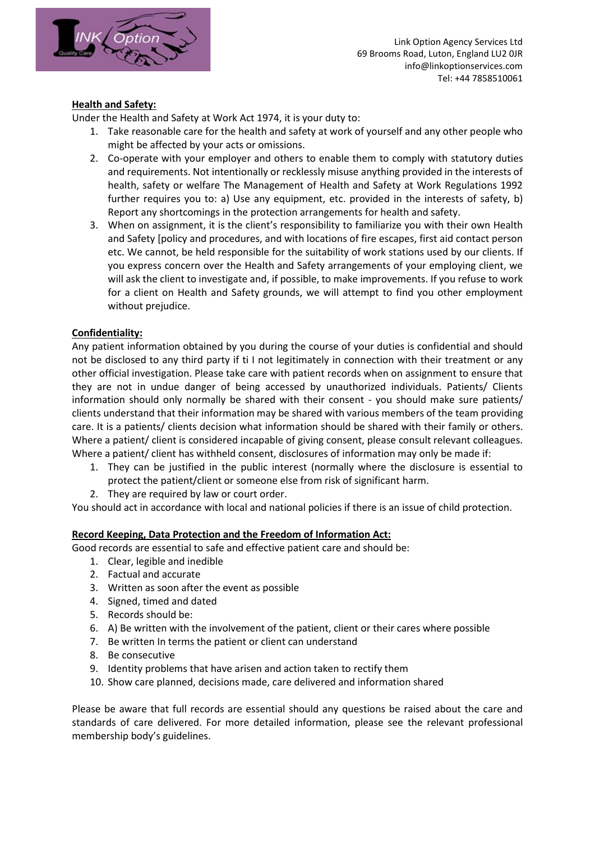

# **Health and Safety:**

Under the Health and Safety at Work Act 1974, it is your duty to:

- 1. Take reasonable care for the health and safety at work of yourself and any other people who might be affected by your acts or omissions.
- 2. Co-operate with your employer and others to enable them to comply with statutory duties and requirements. Not intentionally or recklessly misuse anything provided in the interests of health, safety or welfare The Management of Health and Safety at Work Regulations 1992 further requires you to: a) Use any equipment, etc. provided in the interests of safety, b) Report any shortcomings in the protection arrangements for health and safety.
- 3. When on assignment, it is the client's responsibility to familiarize you with their own Health and Safety [policy and procedures, and with locations of fire escapes, first aid contact person etc. We cannot, be held responsible for the suitability of work stations used by our clients. If you express concern over the Health and Safety arrangements of your employing client, we will ask the client to investigate and, if possible, to make improvements. If you refuse to work for a client on Health and Safety grounds, we will attempt to find you other employment without prejudice.

# **Confidentiality:**

Any patient information obtained by you during the course of your duties is confidential and should not be disclosed to any third party if ti I not legitimately in connection with their treatment or any other official investigation. Please take care with patient records when on assignment to ensure that they are not in undue danger of being accessed by unauthorized individuals. Patients/ Clients information should only normally be shared with their consent - you should make sure patients/ clients understand that their information may be shared with various members of the team providing care. It is a patients/ clients decision what information should be shared with their family or others. Where a patient/ client is considered incapable of giving consent, please consult relevant colleagues. Where a patient/ client has withheld consent, disclosures of information may only be made if:

- 1. They can be justified in the public interest (normally where the disclosure is essential to protect the patient/client or someone else from risk of significant harm.
- 2. They are required by law or court order.

You should act in accordance with local and national policies if there is an issue of child protection.

#### **Record Keeping, Data Protection and the Freedom of Information Act:**

Good records are essential to safe and effective patient care and should be:

- 1. Clear, legible and inedible
- 2. Factual and accurate
- 3. Written as soon after the event as possible
- 4. Signed, timed and dated
- 5. Records should be:
- 6. A) Be written with the involvement of the patient, client or their cares where possible
- 7. Be written In terms the patient or client can understand
- 8. Be consecutive
- 9. Identity problems that have arisen and action taken to rectify them
- 10. Show care planned, decisions made, care delivered and information shared

Please be aware that full records are essential should any questions be raised about the care and standards of care delivered. For more detailed information, please see the relevant professional membership body's guidelines.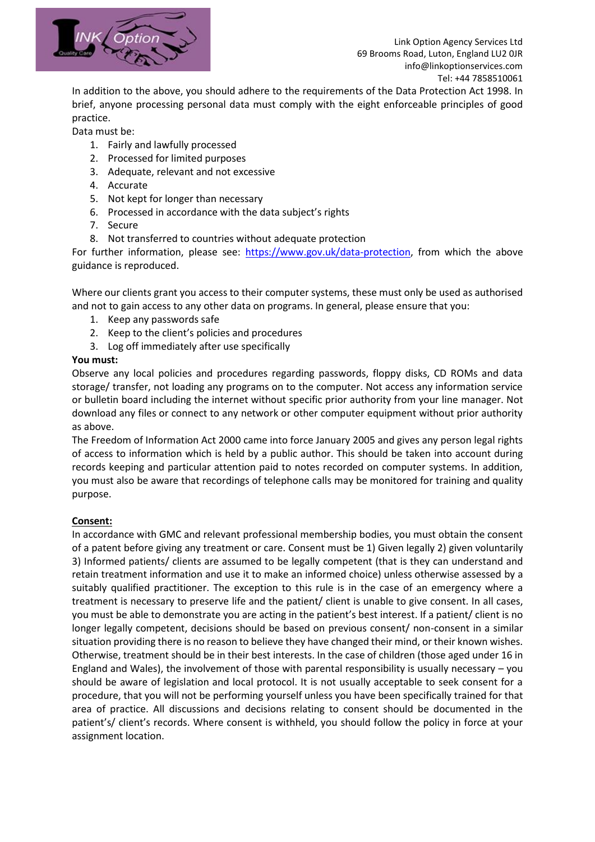

In addition to the above, you should adhere to the requirements of the Data Protection Act 1998. In brief, anyone processing personal data must comply with the eight enforceable principles of good practice.

Data must be:

- 1. Fairly and lawfully processed
- 2. Processed for limited purposes
- 3. Adequate, relevant and not excessive
- 4. Accurate
- 5. Not kept for longer than necessary
- 6. Processed in accordance with the data subject's rights
- 7. Secure
- 8. Not transferred to countries without adequate protection

For further information, please see: [https://www.gov.uk/data-protection,](https://www.gov.uk/data-protection) from which the above guidance is reproduced.

Where our clients grant you access to their computer systems, these must only be used as authorised and not to gain access to any other data on programs. In general, please ensure that you:

- 1. Keep any passwords safe
- 2. Keep to the client's policies and procedures
- 3. Log off immediately after use specifically

#### **You must:**

Observe any local policies and procedures regarding passwords, floppy disks, CD ROMs and data storage/ transfer, not loading any programs on to the computer. Not access any information service or bulletin board including the internet without specific prior authority from your line manager. Not download any files or connect to any network or other computer equipment without prior authority as above.

The Freedom of Information Act 2000 came into force January 2005 and gives any person legal rights of access to information which is held by a public author. This should be taken into account during records keeping and particular attention paid to notes recorded on computer systems. In addition, you must also be aware that recordings of telephone calls may be monitored for training and quality purpose.

#### **Consent:**

In accordance with GMC and relevant professional membership bodies, you must obtain the consent of a patent before giving any treatment or care. Consent must be 1) Given legally 2) given voluntarily 3) Informed patients/ clients are assumed to be legally competent (that is they can understand and retain treatment information and use it to make an informed choice) unless otherwise assessed by a suitably qualified practitioner. The exception to this rule is in the case of an emergency where a treatment is necessary to preserve life and the patient/ client is unable to give consent. In all cases, you must be able to demonstrate you are acting in the patient's best interest. If a patient/ client is no longer legally competent, decisions should be based on previous consent/ non-consent in a similar situation providing there is no reason to believe they have changed their mind, or their known wishes. Otherwise, treatment should be in their best interests. In the case of children (those aged under 16 in England and Wales), the involvement of those with parental responsibility is usually necessary – you should be aware of legislation and local protocol. It is not usually acceptable to seek consent for a procedure, that you will not be performing yourself unless you have been specifically trained for that area of practice. All discussions and decisions relating to consent should be documented in the patient's/ client's records. Where consent is withheld, you should follow the policy in force at your assignment location.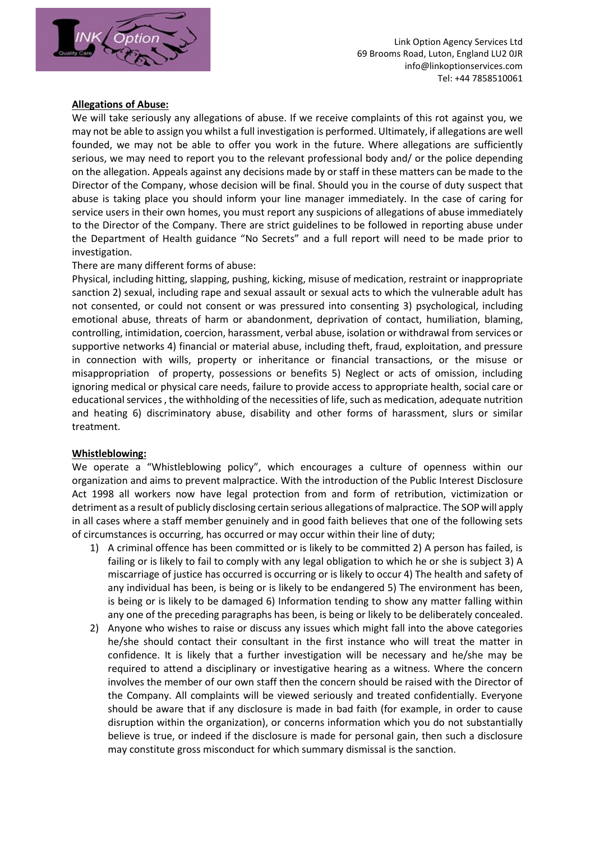

#### **Allegations of Abuse:**

We will take seriously any allegations of abuse. If we receive complaints of this rot against you, we may not be able to assign you whilst a full investigation is performed. Ultimately, if allegations are well founded, we may not be able to offer you work in the future. Where allegations are sufficiently serious, we may need to report you to the relevant professional body and/ or the police depending on the allegation. Appeals against any decisions made by or staff in these matters can be made to the Director of the Company, whose decision will be final. Should you in the course of duty suspect that abuse is taking place you should inform your line manager immediately. In the case of caring for service users in their own homes, you must report any suspicions of allegations of abuse immediately to the Director of the Company. There are strict guidelines to be followed in reporting abuse under the Department of Health guidance "No Secrets" and a full report will need to be made prior to investigation.

There are many different forms of abuse:

Physical, including hitting, slapping, pushing, kicking, misuse of medication, restraint or inappropriate sanction 2) sexual, including rape and sexual assault or sexual acts to which the vulnerable adult has not consented, or could not consent or was pressured into consenting 3) psychological, including emotional abuse, threats of harm or abandonment, deprivation of contact, humiliation, blaming, controlling, intimidation, coercion, harassment, verbal abuse, isolation or withdrawal from services or supportive networks 4) financial or material abuse, including theft, fraud, exploitation, and pressure in connection with wills, property or inheritance or financial transactions, or the misuse or misappropriation of property, possessions or benefits 5) Neglect or acts of omission, including ignoring medical or physical care needs, failure to provide access to appropriate health, social care or educational services , the withholding of the necessities of life, such as medication, adequate nutrition and heating 6) discriminatory abuse, disability and other forms of harassment, slurs or similar treatment.

#### **Whistleblowing:**

We operate a "Whistleblowing policy", which encourages a culture of openness within our organization and aims to prevent malpractice. With the introduction of the Public Interest Disclosure Act 1998 all workers now have legal protection from and form of retribution, victimization or detriment as a result of publicly disclosing certain serious allegations of malpractice. The SOP will apply in all cases where a staff member genuinely and in good faith believes that one of the following sets of circumstances is occurring, has occurred or may occur within their line of duty;

- 1) A criminal offence has been committed or is likely to be committed 2) A person has failed, is failing or is likely to fail to comply with any legal obligation to which he or she is subject 3) A miscarriage of justice has occurred is occurring or is likely to occur 4) The health and safety of any individual has been, is being or is likely to be endangered 5) The environment has been, is being or is likely to be damaged 6) Information tending to show any matter falling within any one of the preceding paragraphs has been, is being or likely to be deliberately concealed.
- 2) Anyone who wishes to raise or discuss any issues which might fall into the above categories he/she should contact their consultant in the first instance who will treat the matter in confidence. It is likely that a further investigation will be necessary and he/she may be required to attend a disciplinary or investigative hearing as a witness. Where the concern involves the member of our own staff then the concern should be raised with the Director of the Company. All complaints will be viewed seriously and treated confidentially. Everyone should be aware that if any disclosure is made in bad faith (for example, in order to cause disruption within the organization), or concerns information which you do not substantially believe is true, or indeed if the disclosure is made for personal gain, then such a disclosure may constitute gross misconduct for which summary dismissal is the sanction.